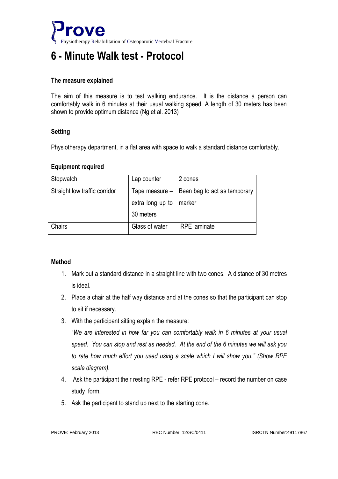

# **6 - Minute Walk test - Protocol**

### **The measure explained**

The aim of this measure is to test walking endurance. It is the distance a person can comfortably walk in 6 minutes at their usual walking speed. A length of 30 meters has been shown to provide optimum distance (Ng et al. 2013)

## **Setting**

Physiotherapy department, in a flat area with space to walk a standard distance comfortably.

#### **Equipment required**

| Stopwatch                     | Lap counter      | 2 cones                      |
|-------------------------------|------------------|------------------------------|
| Straight low traffic corridor | Tape measure -   | Bean bag to act as temporary |
|                               | extra long up to | marker                       |
|                               | 30 meters        |                              |
| Chairs                        | Glass of water   | <b>RPE</b> laminate          |

## **Method**

- 1. Mark out a standard distance in a straight line with two cones. A distance of 30 metres is ideal.
- 2. Place a chair at the half way distance and at the cones so that the participant can stop to sit if necessary.
- 3. With the participant sitting explain the measure:

"*We are interested in how far you can comfortably walk in 6 minutes at your usual speed. You can stop and rest as needed. At the end of the 6 minutes we will ask you to rate how much effort you used using a scale which I will show you." (Show RPE scale diagram).*

- 4. Ask the participant their resting RPE refer RPE protocol record the number on case study form.
- 5. Ask the participant to stand up next to the starting cone.